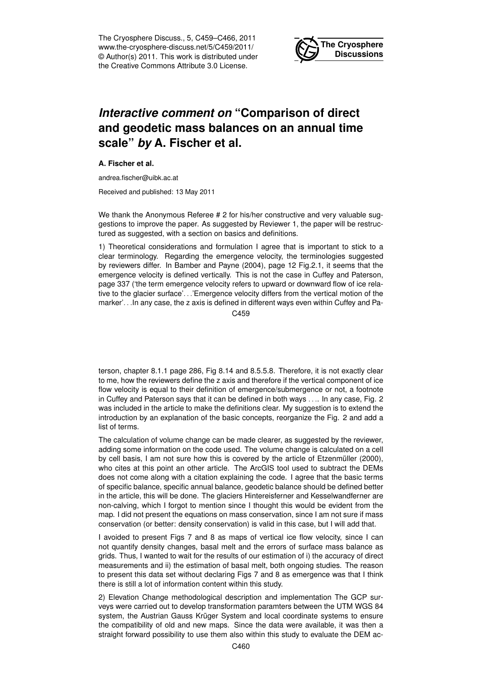The Cryosphere Discuss., 5, C459–C466, 2011 www.the-cryosphere-discuss.net/5/C459/2011/ © Author(s) 2011. This work is distributed under the Creative Commons Attribute 3.0 License.



## *Interactive comment on* **"Comparison of direct and geodetic mass balances on an annual time scale"** *by* **A. Fischer et al.**

**A. Fischer et al.**

andrea.fischer@uibk.ac.at

Received and published: 13 May 2011

We thank the Anonymous Referee # 2 for his/her constructive and very valuable suggestions to improve the paper. As suggested by Reviewer 1, the paper will be restructured as suggested, with a section on basics and definitions.

1) Theoretical considerations and formulation I agree that is important to stick to a clear terminology. Regarding the emergence velocity, the terminologies suggested by reviewers differ. In Bamber and Payne (2004), page 12 Fig.2.1, it seems that the emergence velocity is defined vertically. This is not the case in Cuffey and Paterson, page 337 ('the term emergence velocity refers to upward or downward flow of ice relative to the glacier surface'. . .'Emergence velocity differs from the vertical motion of the marker'. . .In any case, the z axis is defined in different ways even within Cuffey and Pa-

C<sub>459</sub>

terson, chapter 8.1.1 page 286, Fig 8.14 and 8.5.5.8. Therefore, it is not exactly clear to me, how the reviewers define the z axis and therefore if the vertical component of ice flow velocity is equal to their definition of emergence/submergence or not, a footnote in Cuffey and Paterson says that it can be defined in both ways . . .. In any case, Fig. 2 was included in the article to make the definitions clear. My suggestion is to extend the introduction by an explanation of the basic concepts, reorganize the Fig. 2 and add a list of terms.

The calculation of volume change can be made clearer, as suggested by the reviewer, adding some information on the code used. The volume change is calculated on a cell by cell basis, I am not sure how this is covered by the article of Etzenmüller (2000), who cites at this point an other article. The ArcGIS tool used to subtract the DEMs does not come along with a citation explaining the code. I agree that the basic terms of specific balance, specific annual balance, geodetic balance should be defined better in the article, this will be done. The glaciers Hintereisferner and Kesselwandferner are non-calving, which I forgot to mention since I thought this would be evident from the map. I did not present the equations on mass conservation, since I am not sure if mass conservation (or better: density conservation) is valid in this case, but I will add that.

I avoided to present Figs 7 and 8 as maps of vertical ice flow velocity, since I can not quantify density changes, basal melt and the errors of surface mass balance as grids. Thus, I wanted to wait for the results of our estimation of i) the accuracy of direct measurements and ii) the estimation of basal melt, both ongoing studies. The reason to present this data set without declaring Figs 7 and 8 as emergence was that I think there is still a lot of information content within this study.

2) Elevation Change methodological description and implementation The GCP surveys were carried out to develop transformation paramters between the UTM WGS 84 system, the Austrian Gauss Krüger System and local coordinate systems to ensure the compatibility of old and new maps. Since the data were available, it was then a straight forward possibility to use them also within this study to evaluate the DEM ac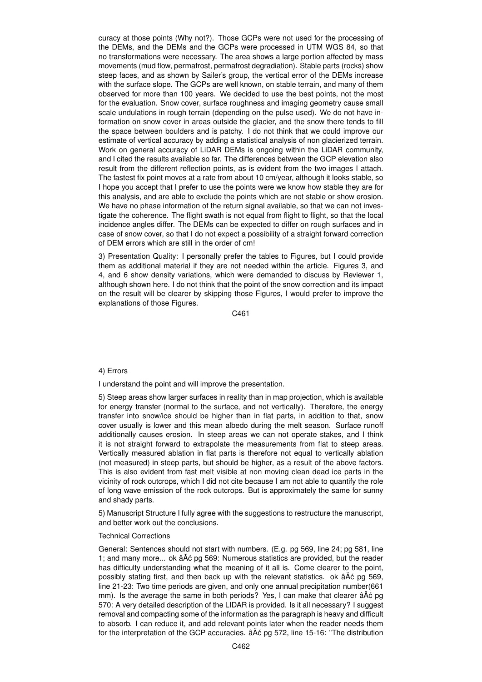curacy at those points (Why not?). Those GCPs were not used for the processing of the DEMs, and the DEMs and the GCPs were processed in UTM WGS 84, so that no transformations were necessary. The area shows a large portion affected by mass movements (mud flow, permafrost, permafrost degradiation). Stable parts (rocks) show steep faces, and as shown by Sailer's group, the vertical error of the DEMs increase with the surface slope. The GCPs are well known, on stable terrain, and many of them observed for more than 100 years. We decided to use the best points, not the most for the evaluation. Snow cover, surface roughness and imaging geometry cause small scale undulations in rough terrain (depending on the pulse used). We do not have information on snow cover in areas outside the glacier, and the snow there tends to fill the space between boulders and is patchy. I do not think that we could improve our estimate of vertical accuracy by adding a statistical analysis of non glacierized terrain. Work on general accuracy of LiDAR DEMs is ongoing within the LiDAR community, and I cited the results available so far. The differences between the GCP elevation also result from the different reflection points, as is evident from the two images I attach. The fastest fix point moves at a rate from about 10 cm/year, although it looks stable, so I hope you accept that I prefer to use the points were we know how stable they are for this analysis, and are able to exclude the points which are not stable or show erosion. We have no phase information of the return signal available, so that we can not investigate the coherence. The flight swath is not equal from flight to flight, so that the local incidence angles differ. The DEMs can be expected to differ on rough surfaces and in case of snow cover, so that I do not expect a possibility of a straight forward correction of DEM errors which are still in the order of cm!

3) Presentation Quality: I personally prefer the tables to Figures, but I could provide them as additional material if they are not needed within the article. Figures 3, and 4, and 6 show density variations, which were demanded to discuss by Reviewer 1, although shown here. I do not think that the point of the snow correction and its impact on the result will be clearer by skipping those Figures, I would prefer to improve the explanations of those Figures.

C461

## 4) Errors

I understand the point and will improve the presentation.

5) Steep areas show larger surfaces in reality than in map projection, which is available for energy transfer (normal to the surface, and not vertically). Therefore, the energy transfer into snow/ice should be higher than in flat parts, in addition to that, snow cover usually is lower and this mean albedo during the melt season. Surface runoff additionally causes erosion. In steep areas we can not operate stakes, and I think it is not straight forward to extrapolate the measurements from flat to steep areas. Vertically measured ablation in flat parts is therefore not equal to vertically ablation (not measured) in steep parts, but should be higher, as a result of the above factors. This is also evident from fast melt visible at non moving clean dead ice parts in the vicinity of rock outcrops, which I did not cite because I am not able to quantify the role of long wave emission of the rock outcrops. But is approximately the same for sunny and shady parts.

5) Manuscript Structure I fully agree with the suggestions to restructure the manuscript, and better work out the conclusions.

## Technical Corrections

General: Sentences should not start with numbers. (E.g. pg 569, line 24; pg 581, line 1; and many more... ok  $\hat{a}\hat{A}\hat{c}$  pg 569: Numerous statistics are provided, but the reader has difficulty understanding what the meaning of it all is. Come clearer to the point, possibly stating first, and then back up with the relevant statistics. ok  $\hat{a}A\hat{c}$  pg 569, line 21-23: Two time periods are given, and only one annual precipitation number(661 mm). Is the average the same in both periods? Yes, I can make that clearer âÅć pg 570: A very detailed description of the LIDAR is provided. Is it all necessary? I suggest removal and compacting some of the information as the paragraph is heavy and difficult to absorb. I can reduce it, and add relevant points later when the reader needs them for the interpretation of the GCP accuracies.  $\hat{a}$ A $\hat{c}$  pg 572, line 15-16: "The distribution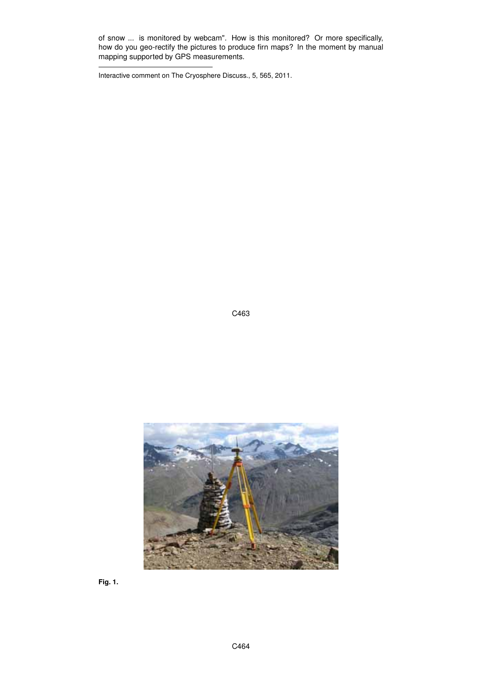of snow ... is monitored by webcam". How is this monitored? Or more specifically, how do you geo-rectify the pictures to produce firn maps? In the moment by manual mapping supported by GPS measurements.

Interactive comment on The Cryosphere Discuss., 5, 565, 2011.

C463



**Fig. 1.**